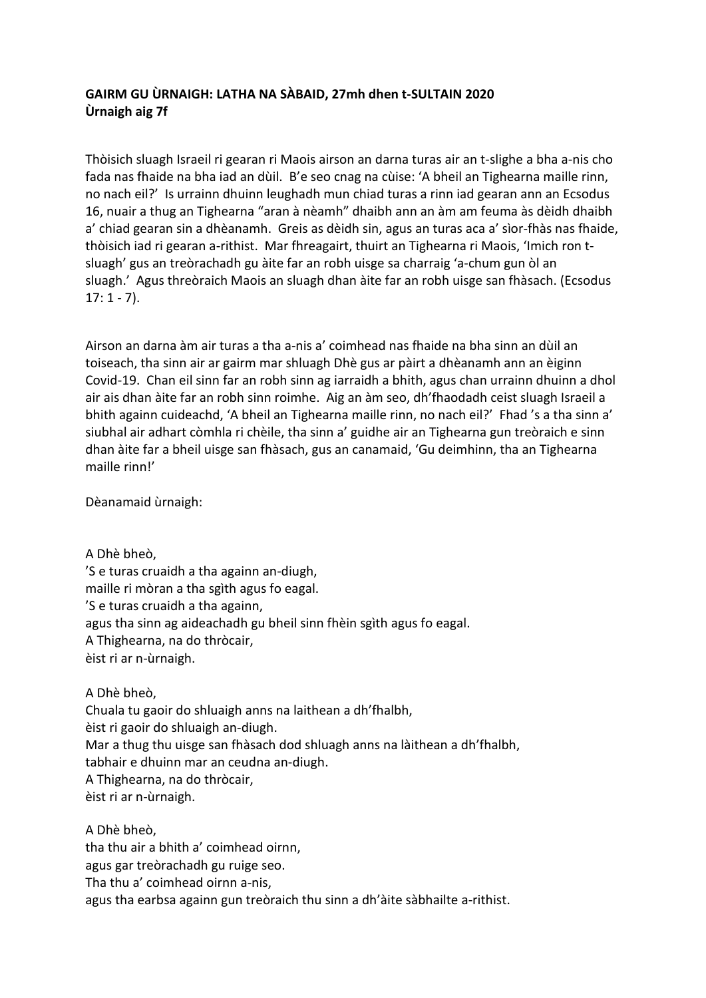## **GAIRM GU ÙRNAIGH: LATHA NA SÀBAID, 27mh dhen t-SULTAIN 2020 Ùrnaigh aig 7f**

Thòisich sluagh Israeil ri gearan ri Maois airson an darna turas air an t-slighe a bha a-nis cho fada nas fhaide na bha iad an dùil. B'e seo cnag na cùise: 'A bheil an Tighearna maille rinn, no nach eil?' Is urrainn dhuinn leughadh mun chiad turas a rinn iad gearan ann an Ecsodus 16, nuair a thug an Tighearna "aran à nèamh" dhaibh ann an àm am feuma às dèidh dhaibh a' chiad gearan sin a dhèanamh. Greis as dèidh sin, agus an turas aca a' sìor-fhàs nas fhaide, thòisich iad ri gearan a-rithist. Mar fhreagairt, thuirt an Tighearna ri Maois, 'Imich ron tsluagh' gus an treòrachadh gu àite far an robh uisge sa charraig 'a-chum gun òl an sluagh.' Agus threòraich Maois an sluagh dhan àite far an robh uisge san fhàsach. (Ecsodus  $17: 1 - 7$ ).

Airson an darna àm air turas a tha a-nis a' coimhead nas fhaide na bha sinn an dùil an toiseach, tha sinn air ar gairm mar shluagh Dhè gus ar pàirt a dhèanamh ann an èiginn Covid-19. Chan eil sinn far an robh sinn ag iarraidh a bhith, agus chan urrainn dhuinn a dhol air ais dhan àite far an robh sinn roimhe. Aig an àm seo, dh'fhaodadh ceist sluagh Israeil a bhith againn cuideachd, 'A bheil an Tighearna maille rinn, no nach eil?' Fhad 's a tha sinn a' siubhal air adhart còmhla ri chèile, tha sinn a' guidhe air an Tighearna gun treòraich e sinn dhan àite far a bheil uisge san fhàsach, gus an canamaid, 'Gu deimhinn, tha an Tighearna maille rinn!'

Dèanamaid ùrnaigh:

A Dhè bheò, 'S e turas cruaidh a tha againn an-diugh, maille ri mòran a tha sgìth agus fo eagal. 'S e turas cruaidh a tha againn, agus tha sinn ag aideachadh gu bheil sinn fhèin sgìth agus fo eagal. A Thighearna, na do thròcair, èist ri ar n-ùrnaigh.

## A Dhè bheò,

Chuala tu gaoir do shluaigh anns na laithean a dh'fhalbh, èist ri gaoir do shluaigh an-diugh. Mar a thug thu uisge san fhàsach dod shluagh anns na làithean a dh'fhalbh, tabhair e dhuinn mar an ceudna an-diugh. A Thighearna, na do thròcair, èist ri ar n-ùrnaigh.

A Dhè bheò, tha thu air a bhith a' coimhead oirnn, agus gar treòrachadh gu ruige seo. Tha thu a' coimhead oirnn a-nis, agus tha earbsa againn gun treòraich thu sinn a dh'àite sàbhailte a-rithist.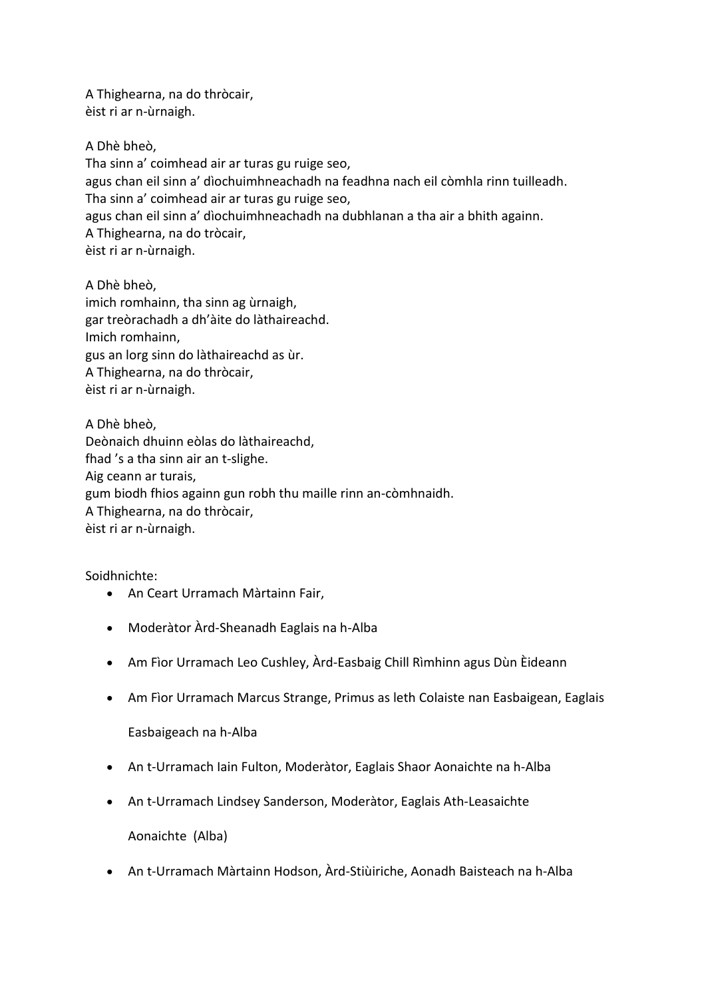A Thighearna, na do thròcair, èist ri ar n-ùrnaigh.

A Dhè bheò, Tha sinn a' coimhead air ar turas gu ruige seo, agus chan eil sinn a' dìochuimhneachadh na feadhna nach eil còmhla rinn tuilleadh. Tha sinn a' coimhead air ar turas gu ruige seo, agus chan eil sinn a' dìochuimhneachadh na dubhlanan a tha air a bhith againn. A Thighearna, na do tròcair, èist ri ar n-ùrnaigh.

A Dhè bheò, imich romhainn, tha sinn ag ùrnaigh, gar treòrachadh a dh'àite do làthaireachd. Imich romhainn, gus an lorg sinn do làthaireachd as ùr. A Thighearna, na do thròcair, èist ri ar n-ùrnaigh.

A Dhè bheò, Deònaich dhuinn eòlas do làthaireachd, fhad 's a tha sinn air an t-slighe. Aig ceann ar turais, gum biodh fhios againn gun robh thu maille rinn an-còmhnaidh. A Thighearna, na do thròcair, èist ri ar n-ùrnaigh.

Soidhnichte:

- An Ceart Urramach Màrtainn Fair,
- Moderàtor Àrd-Sheanadh Eaglais na h-Alba
- Am Fìor Urramach Leo Cushley, Àrd-Easbaig Chill Rìmhinn agus Dùn Èideann
- Am Fìor Urramach Marcus Strange, Primus as leth Colaiste nan Easbaigean, Eaglais

Easbaigeach na h-Alba

- An t-Urramach Iain Fulton, Moderàtor, Eaglais Shaor Aonaichte na h-Alba
- An t-Urramach Lindsey Sanderson, Moderàtor, Eaglais Ath-Leasaichte

Aonaichte (Alba)

• An t-Urramach Màrtainn Hodson, Àrd-Stiùiriche, Aonadh Baisteach na h-Alba